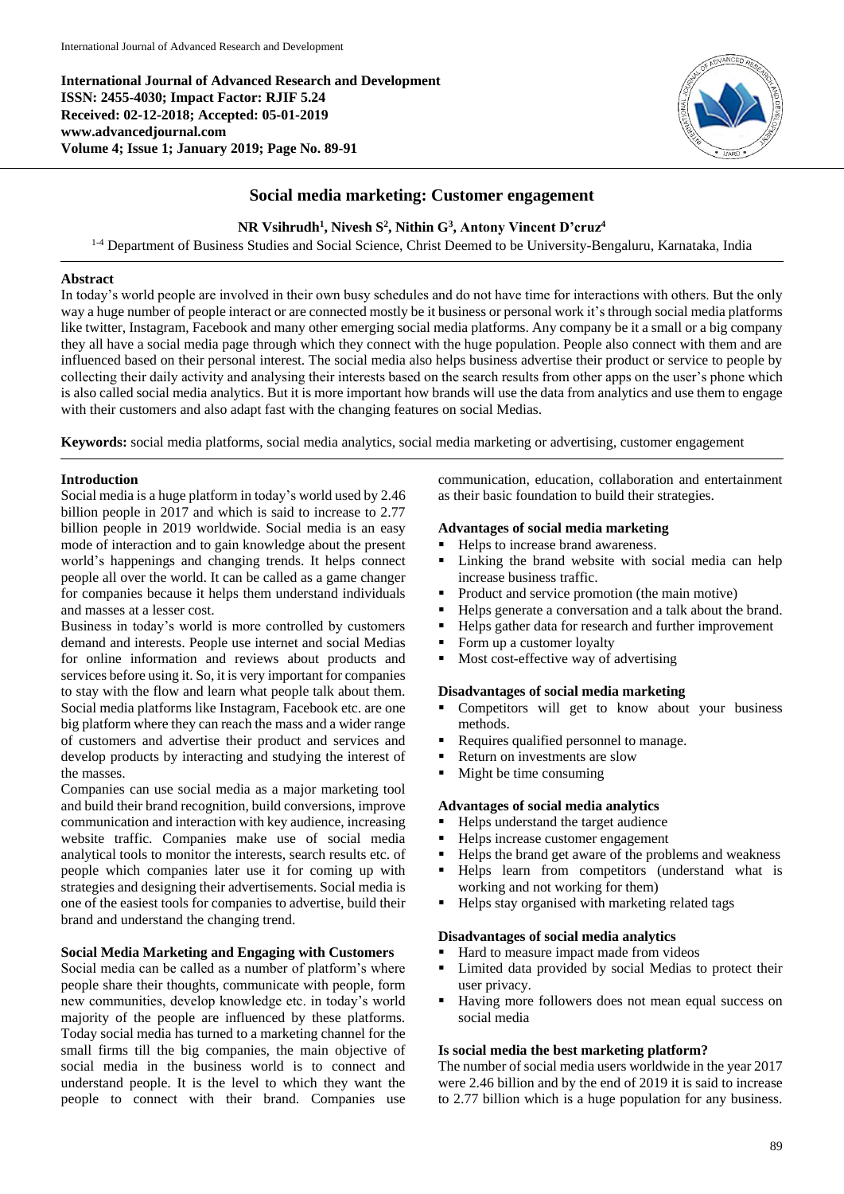**International Journal of Advanced Research and Development ISSN: 2455-4030; Impact Factor: RJIF 5.24 Received: 02-12-2018; Accepted: 05-01-2019 www.advancedjournal.com Volume 4; Issue 1; January 2019; Page No. 89-91**



# **Social media marketing: Customer engagement**

## **NR Vsihrudh<sup>1</sup> , Nivesh S 2 , Nithin G<sup>3</sup> , Antony Vincent D'cruz<sup>4</sup>**

<sup>1-4</sup> Department of Business Studies and Social Science, Christ Deemed to be University-Bengaluru, Karnataka, India

### **Abstract**

In today's world people are involved in their own busy schedules and do not have time for interactions with others. But the only way a huge number of people interact or are connected mostly be it business or personal work it's through social media platforms like twitter, Instagram, Facebook and many other emerging social media platforms. Any company be it a small or a big company they all have a social media page through which they connect with the huge population. People also connect with them and are influenced based on their personal interest. The social media also helps business advertise their product or service to people by collecting their daily activity and analysing their interests based on the search results from other apps on the user's phone which is also called social media analytics. But it is more important how brands will use the data from analytics and use them to engage with their customers and also adapt fast with the changing features on social Medias.

**Keywords:** social media platforms, social media analytics, social media marketing or advertising, customer engagement

#### **Introduction**

Social media is a huge platform in today's world used by 2.46 billion people in 2017 and which is said to increase to 2.77 billion people in 2019 worldwide. Social media is an easy mode of interaction and to gain knowledge about the present world's happenings and changing trends. It helps connect people all over the world. It can be called as a game changer for companies because it helps them understand individuals and masses at a lesser cost.

Business in today's world is more controlled by customers demand and interests. People use internet and social Medias for online information and reviews about products and services before using it. So, it is very important for companies to stay with the flow and learn what people talk about them. Social media platforms like Instagram, Facebook etc. are one big platform where they can reach the mass and a wider range of customers and advertise their product and services and develop products by interacting and studying the interest of the masses.

Companies can use social media as a major marketing tool and build their brand recognition, build conversions, improve communication and interaction with key audience, increasing website traffic. Companies make use of social media analytical tools to monitor the interests, search results etc. of people which companies later use it for coming up with strategies and designing their advertisements. Social media is one of the easiest tools for companies to advertise, build their brand and understand the changing trend.

## **Social Media Marketing and Engaging with Customers**

Social media can be called as a number of platform's where people share their thoughts, communicate with people, form new communities, develop knowledge etc. in today's world majority of the people are influenced by these platforms. Today social media has turned to a marketing channel for the small firms till the big companies, the main objective of social media in the business world is to connect and understand people. It is the level to which they want the people to connect with their brand. Companies use

communication, education, collaboration and entertainment as their basic foundation to build their strategies.

#### **Advantages of social media marketing**

- Helps to increase brand awareness.
- Linking the brand website with social media can help increase business traffic.
- Product and service promotion (the main motive)
- Helps generate a conversation and a talk about the brand.
- Helps gather data for research and further improvement
- Form up a customer loyalty
- **Most cost-effective way of advertising**

#### **Disadvantages of social media marketing**

- Competitors will get to know about your business methods.
- Requires qualified personnel to manage.
- Return on investments are slow
- Might be time consuming

#### **Advantages of social media analytics**

- Helps understand the target audience
- Helps increase customer engagement
- Helps the brand get aware of the problems and weakness
- Helps learn from competitors (understand what is working and not working for them)
- Helps stay organised with marketing related tags

#### **Disadvantages of social media analytics**

- Hard to measure impact made from videos
- Limited data provided by social Medias to protect their user privacy.
- Having more followers does not mean equal success on social media

#### **Is social media the best marketing platform?**

The number of social media users worldwide in the year 2017 were 2.46 billion and by the end of 2019 it is said to increase to 2.77 billion which is a huge population for any business.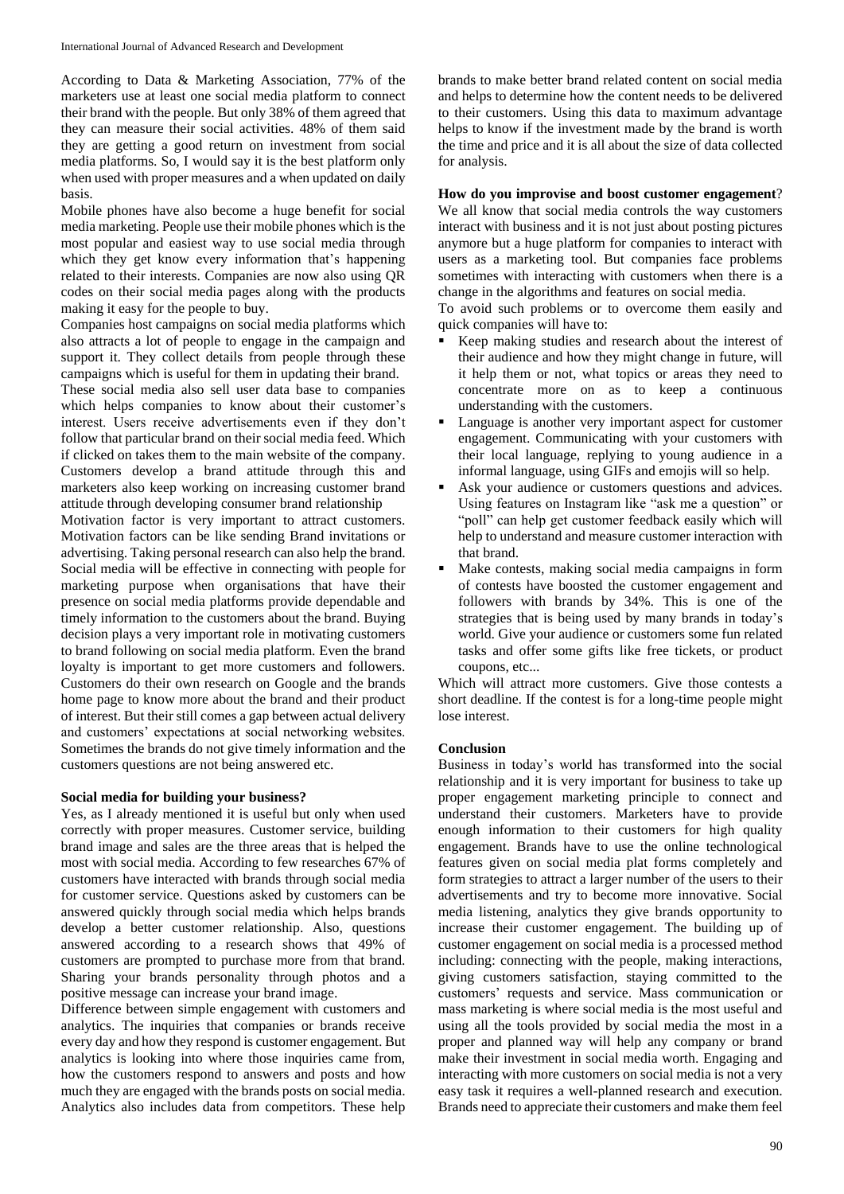According to Data & Marketing Association, 77% of the marketers use at least one social media platform to connect their brand with the people. But only 38% of them agreed that they can measure their social activities. 48% of them said they are getting a good return on investment from social media platforms. So, I would say it is the best platform only when used with proper measures and a when updated on daily basis.

Mobile phones have also become a huge benefit for social media marketing. People use their mobile phones which is the most popular and easiest way to use social media through which they get know every information that's happening related to their interests. Companies are now also using QR codes on their social media pages along with the products making it easy for the people to buy.

Companies host campaigns on social media platforms which also attracts a lot of people to engage in the campaign and support it. They collect details from people through these campaigns which is useful for them in updating their brand.

These social media also sell user data base to companies which helps companies to know about their customer's interest. Users receive advertisements even if they don't follow that particular brand on their social media feed. Which if clicked on takes them to the main website of the company. Customers develop a brand attitude through this and marketers also keep working on increasing customer brand attitude through developing consumer brand relationship

Motivation factor is very important to attract customers. Motivation factors can be like sending Brand invitations or advertising. Taking personal research can also help the brand. Social media will be effective in connecting with people for marketing purpose when organisations that have their presence on social media platforms provide dependable and timely information to the customers about the brand. Buying decision plays a very important role in motivating customers to brand following on social media platform. Even the brand loyalty is important to get more customers and followers. Customers do their own research on Google and the brands home page to know more about the brand and their product of interest. But their still comes a gap between actual delivery and customers' expectations at social networking websites. Sometimes the brands do not give timely information and the customers questions are not being answered etc.

#### **Social media for building your business?**

Yes, as I already mentioned it is useful but only when used correctly with proper measures. Customer service, building brand image and sales are the three areas that is helped the most with social media. According to few researches 67% of customers have interacted with brands through social media for customer service. Questions asked by customers can be answered quickly through social media which helps brands develop a better customer relationship. Also, questions answered according to a research shows that 49% of customers are prompted to purchase more from that brand. Sharing your brands personality through photos and a positive message can increase your brand image.

Difference between simple engagement with customers and analytics. The inquiries that companies or brands receive every day and how they respond is customer engagement. But analytics is looking into where those inquiries came from, how the customers respond to answers and posts and how much they are engaged with the brands posts on social media. Analytics also includes data from competitors. These help

brands to make better brand related content on social media and helps to determine how the content needs to be delivered to their customers. Using this data to maximum advantage helps to know if the investment made by the brand is worth the time and price and it is all about the size of data collected for analysis.

## **How do you improvise and boost customer engagement**? We all know that social media controls the way customers interact with business and it is not just about posting pictures anymore but a huge platform for companies to interact with users as a marketing tool. But companies face problems sometimes with interacting with customers when there is a change in the algorithms and features on social media.

To avoid such problems or to overcome them easily and quick companies will have to:

- Keep making studies and research about the interest of their audience and how they might change in future, will it help them or not, what topics or areas they need to concentrate more on as to keep a continuous understanding with the customers.
- Language is another very important aspect for customer engagement. Communicating with your customers with their local language, replying to young audience in a informal language, using GIFs and emojis will so help.
- Ask your audience or customers questions and advices. Using features on Instagram like "ask me a question" or "poll" can help get customer feedback easily which will help to understand and measure customer interaction with that brand.
- Make contests, making social media campaigns in form of contests have boosted the customer engagement and followers with brands by 34%. This is one of the strategies that is being used by many brands in today's world. Give your audience or customers some fun related tasks and offer some gifts like free tickets, or product coupons, etc...

Which will attract more customers. Give those contests a short deadline. If the contest is for a long-time people might lose interest.

#### **Conclusion**

Business in today's world has transformed into the social relationship and it is very important for business to take up proper engagement marketing principle to connect and understand their customers. Marketers have to provide enough information to their customers for high quality engagement. Brands have to use the online technological features given on social media plat forms completely and form strategies to attract a larger number of the users to their advertisements and try to become more innovative. Social media listening, analytics they give brands opportunity to increase their customer engagement. The building up of customer engagement on social media is a processed method including: connecting with the people, making interactions, giving customers satisfaction, staying committed to the customers' requests and service. Mass communication or mass marketing is where social media is the most useful and using all the tools provided by social media the most in a proper and planned way will help any company or brand make their investment in social media worth. Engaging and interacting with more customers on social media is not a very easy task it requires a well-planned research and execution. Brands need to appreciate their customers and make them feel